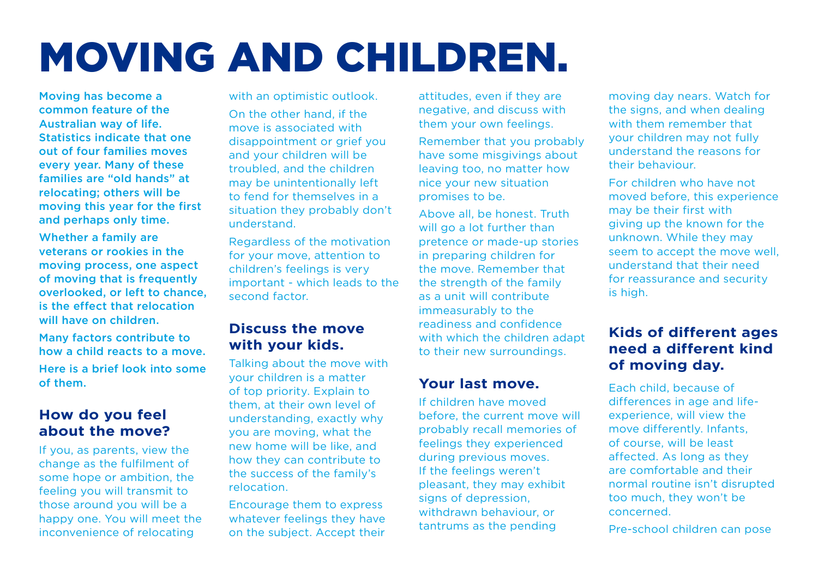# MOVING AND CHILDREN.

Moving has become a common feature of the Australian way of life. Statistics indicate that one out of four families moves every year. Many of these families are "old hands" at relocating; others will be moving this year for the first and perhaps only time.

Whether a family are veterans or rookies in the moving process, one aspect of moving that is frequently overlooked, or left to chance, is the effect that relocation will have on children.

Many factors contribute to how a child reacts to a move. Here is a brief look into some of them.

# **How do you feel about the move?**

If you, as parents, view the change as the fulfilment of some hope or ambition, the feeling you will transmit to those around you will be a happy one. You will meet the inconvenience of relocating

with an optimistic outlook. On the other hand, if the

move is associated with disappointment or grief you and your children will be troubled, and the children may be unintentionally left to fend for themselves in a situation they probably don't understand.

Regardless of the motivation for your move, attention to children's feelings is very important - which leads to the second factor.

## **Discuss the move with your kids.**

Talking about the move with your children is a matter of top priority. Explain to them, at their own level of understanding, exactly why you are moving, what the new home will be like, and how they can contribute to the success of the family's relocation.

Encourage them to express whatever feelings they have on the subject. Accept their attitudes, even if they are negative, and discuss with them your own feelings.

Remember that you probably have some misgivings about leaving too, no matter how nice your new situation promises to be.

Above all, be honest. Truth will go a lot further than pretence or made-up stories in preparing children for the move. Remember that the strength of the family as a unit will contribute immeasurably to the readiness and confidence with which the children adapt to their new surroundings.

#### **Your last move.**

If children have moved before, the current move will probably recall memories of feelings they experienced during previous moves. If the feelings weren't pleasant, they may exhibit signs of depression, withdrawn behaviour, or tantrums as the pending

moving day nears. Watch for the signs, and when dealing with them remember that your children may not fully understand the reasons for their behaviour.

For children who have not moved before, this experience may be their first with giving up the known for the unknown. While they may seem to accept the move well, understand that their need for reassurance and security is high.

# **Kids of different ages need a different kind of moving day.**

Each child, because of differences in age and lifeexperience, will view the move differently. Infants, of course, will be least affected. As long as they are comfortable and their normal routine isn't disrupted too much, they won't be concerned.

Pre-school children can pose